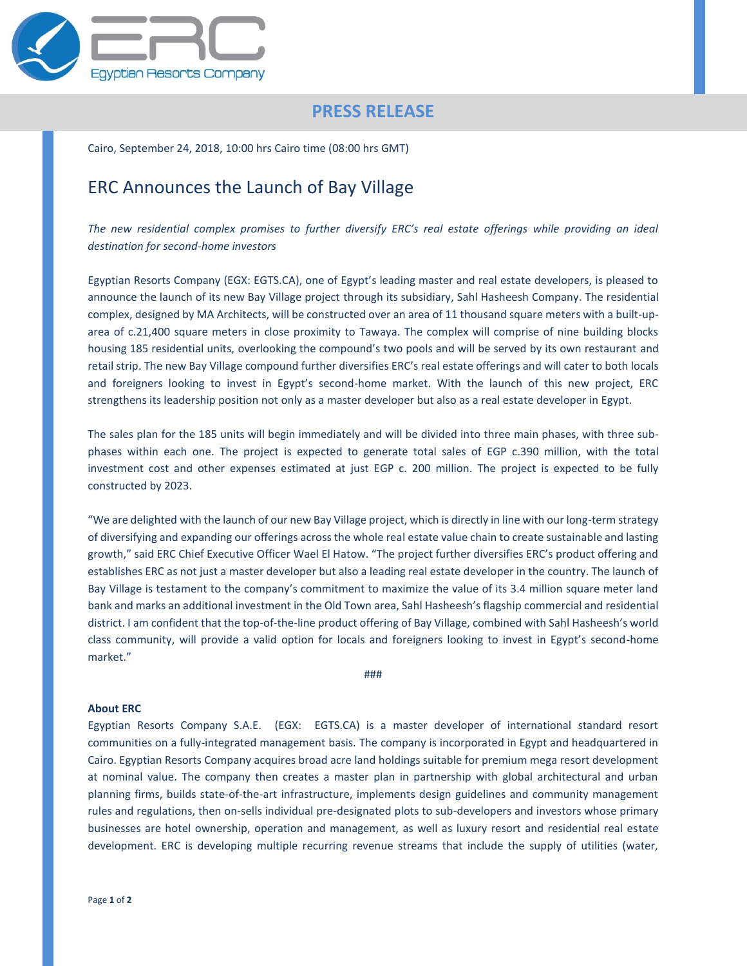

## **PRESS RELEASE**

Cairo, September 24, 2018, 10:00 hrs Cairo time (08:00 hrs GMT)

## ERC Announces the Launch of Bay Village

The new residential complex promises to further diversify ERC's real estate offerings while providing an ideal *destination for second-home investors*

Egyptian Resorts Company (EGX: EGTS.CA), one of Egypt's leading master and real estate developers, is pleased to announce the launch of its new Bay Village project through its subsidiary, Sahl Hasheesh Company. The residential complex, designed by MA Architects, will be constructed over an area of 11 thousand square meters with a built-uparea of c.21,400 square meters in close proximity to Tawaya. The complex will comprise of nine building blocks housing 185 residential units, overlooking the compound's two pools and will be served by its own restaurant and retail strip. The new Bay Village compound further diversifies ERC's real estate offerings and will cater to both locals and foreigners looking to invest in Egypt's second-home market. With the launch of this new project, ERC strengthens its leadership position not only as a master developer but also as a real estate developer in Egypt.

The sales plan for the 185 units will begin immediately and will be divided into three main phases, with three subphases within each one. The project is expected to generate total sales of EGP c.390 million, with the total investment cost and other expenses estimated at just EGP c. 200 million. The project is expected to be fully constructed by 2023.

"We are delighted with the launch of our new Bay Village project, which is directly in line with our long-term strategy of diversifying and expanding our offerings across the whole real estate value chain to create sustainable and lasting growth," said ERC Chief Executive Officer Wael El Hatow. "The project further diversifies ERC's product offering and establishes ERC as not just a master developer but also a leading real estate developer in the country. The launch of Bay Village is testament to the company's commitment to maximize the value of its 3.4 million square meter land bank and marks an additional investment in the Old Town area, Sahl Hasheesh's flagship commercial and residential district. I am confident that the top-of-the-line product offering of Bay Village, combined with Sahl Hasheesh's world class community, will provide a valid option for locals and foreigners looking to invest in Egypt's second-home market."

###

## **About ERC**

Egyptian Resorts Company S.A.E. (EGX: EGTS.CA) is a master developer of international standard resort communities on a fully-integrated management basis. The company is incorporated in Egypt and headquartered in Cairo. Egyptian Resorts Company acquires broad acre land holdings suitable for premium mega resort development at nominal value. The company then creates a master plan in partnership with global architectural and urban planning firms, builds state-of-the-art infrastructure, implements design guidelines and community management rules and regulations, then on-sells individual pre-designated plots to sub-developers and investors whose primary businesses are hotel ownership, operation and management, as well as luxury resort and residential real estate development. ERC is developing multiple recurring revenue streams that include the supply of utilities (water,